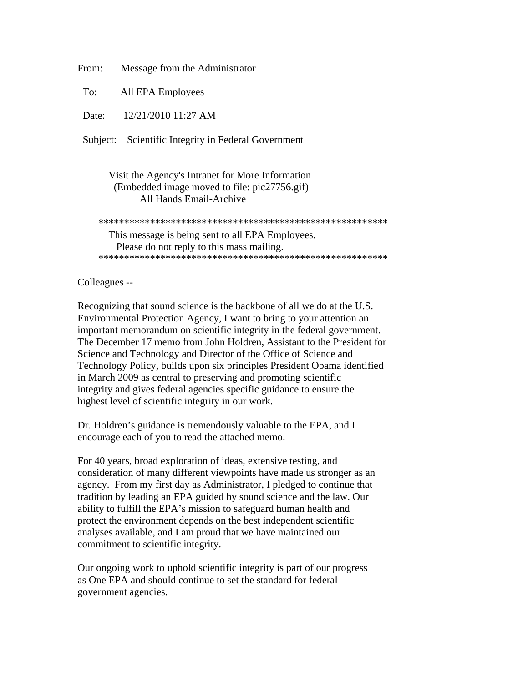From: Message from the Administrator

To: All EPA Employees

Date: 12/21/2010 11:27 AM

Subject: Scientific Integrity in Federal Government

## Visit the Agency's Intranet for More Information (Embedded image moved to file: pic27756.gif) All Hands Email-Archive

 \*\*\*\*\*\*\*\*\*\*\*\*\*\*\*\*\*\*\*\*\*\*\*\*\*\*\*\*\*\*\*\*\*\*\*\*\*\*\*\*\*\*\*\*\*\*\*\*\*\*\*\*\*\*\*\* This message is being sent to all EPA Employees. Please do not reply to this mass mailing. \*\*\*\*\*\*\*\*\*\*\*\*\*\*\*\*\*\*\*\*\*\*\*\*\*\*\*\*\*\*\*\*\*\*\*\*\*\*\*\*\*\*\*\*\*\*\*\*\*\*\*\*\*\*\*\*

## Colleagues --

Recognizing that sound science is the backbone of all we do at the U.S. Environmental Protection Agency, I want to bring to your attention an important memorandum on scientific integrity in the federal government. The December 17 memo from John Holdren, Assistant to the President for Science and Technology and Director of the Office of Science and Technology Policy, builds upon six principles President Obama identified in March 2009 as central to preserving and promoting scientific integrity and gives federal agencies specific guidance to ensure the highest level of scientific integrity in our work.

Dr. Holdren's guidance is tremendously valuable to the EPA, and I encourage each of you to read the attached memo.

For 40 years, broad exploration of ideas, extensive testing, and consideration of many different viewpoints have made us stronger as an agency. From my first day as Administrator, I pledged to continue that tradition by leading an EPA guided by sound science and the law. Our ability to fulfill the EPA's mission to safeguard human health and protect the environment depends on the best independent scientific analyses available, and I am proud that we have maintained our commitment to scientific integrity.

Our ongoing work to uphold scientific integrity is part of our progress as One EPA and should continue to set the standard for federal government agencies.